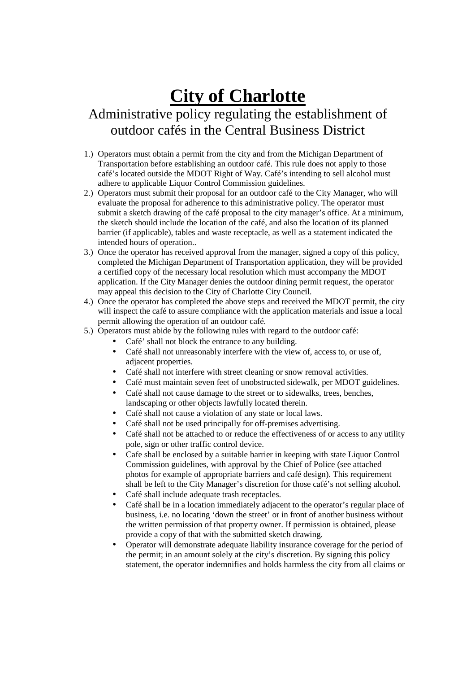## **City of Charlotte**

## Administrative policy regulating the establishment of outdoor cafés in the Central Business District

- 1.) Operators must obtain a permit from the city and from the Michigan Department of Transportation before establishing an outdoor café. This rule does not apply to those café's located outside the MDOT Right of Way. Café's intending to sell alcohol must adhere to applicable Liquor Control Commission guidelines.
- 2.) Operators must submit their proposal for an outdoor café to the City Manager, who will evaluate the proposal for adherence to this administrative policy. The operator must submit a sketch drawing of the café proposal to the city manager's office. At a minimum, the sketch should include the location of the café, and also the location of its planned barrier (if applicable), tables and waste receptacle, as well as a statement indicated the intended hours of operation..
- 3.) Once the operator has received approval from the manager, signed a copy of this policy, completed the Michigan Department of Transportation application, they will be provided a certified copy of the necessary local resolution which must accompany the MDOT application. If the City Manager denies the outdoor dining permit request, the operator may appeal this decision to the City of Charlotte City Council.
- 4.) Once the operator has completed the above steps and received the MDOT permit, the city will inspect the café to assure compliance with the application materials and issue a local permit allowing the operation of an outdoor café.
- 5.) Operators must abide by the following rules with regard to the outdoor café:
	- Café' shall not block the entrance to any building.
	- Café shall not unreasonably interfere with the view of, access to, or use of, adjacent properties.
	- Café shall not interfere with street cleaning or snow removal activities.
	- Café must maintain seven feet of unobstructed sidewalk, per MDOT guidelines.
	- Café shall not cause damage to the street or to sidewalks, trees, benches, landscaping or other objects lawfully located therein.
	- Café shall not cause a violation of any state or local laws.
	- Café shall not be used principally for off-premises advertising.
	- Café shall not be attached to or reduce the effectiveness of or access to any utility pole, sign or other traffic control device.
	- Cafe shall be enclosed by a suitable barrier in keeping with state Liquor Control Commission guidelines, with approval by the Chief of Police (see attached photos for example of appropriate barriers and café design). This requirement shall be left to the City Manager's discretion for those café's not selling alcohol.
	- Café shall include adequate trash receptacles.
	- Café shall be in a location immediately adjacent to the operator's regular place of business, i.e. no locating 'down the street' or in front of another business without the written permission of that property owner. If permission is obtained, please provide a copy of that with the submitted sketch drawing.
	- Operator will demonstrate adequate liability insurance coverage for the period of the permit; in an amount solely at the city's discretion. By signing this policy statement, the operator indemnifies and holds harmless the city from all claims or